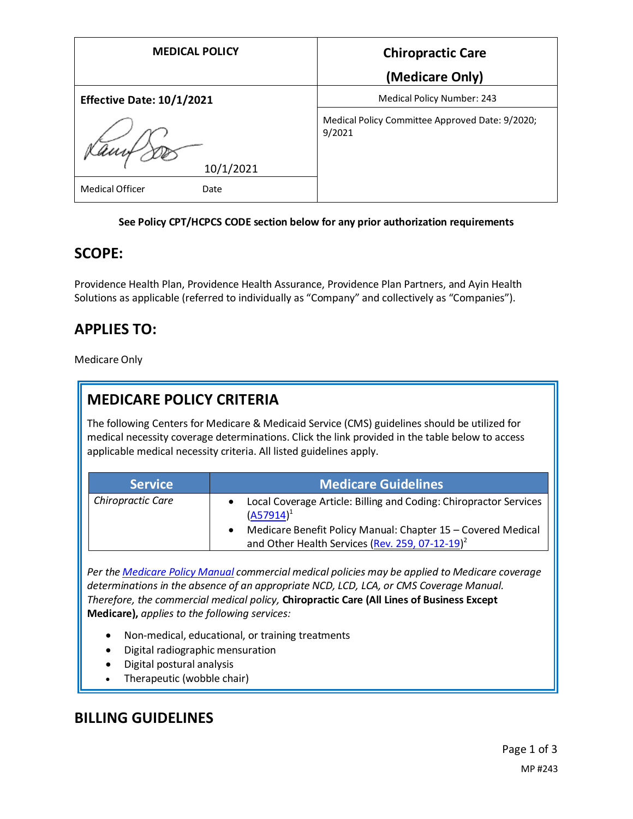| <b>MEDICAL POLICY</b>                       | <b>Chiropractic Care</b>                                  |
|---------------------------------------------|-----------------------------------------------------------|
|                                             | (Medicare Only)                                           |
| <b>Effective Date: 10/1/2021</b>            | Medical Policy Number: 243                                |
| 10/1/2021<br><b>Medical Officer</b><br>Date | Medical Policy Committee Approved Date: 9/2020;<br>9/2021 |

#### **See Policy CPT/HCPCS CODE section below for any prior authorization requirements**

## **SCOPE:**

Providence Health Plan, Providence Health Assurance, Providence Plan Partners, and Ayin Health Solutions as applicable (referred to individually as "Company" and collectively as "Companies").

# **APPLIES TO:**

Medicare Only

# **MEDICARE POLICY CRITERIA**

The following Centers for Medicare & Medicaid Service (CMS) guidelines should be utilized for medical necessity coverage determinations. Click the link provided in the table below to access applicable medical necessity criteria. All listed guidelines apply.

| <b>Service</b>           | <b>Medicare Guidelines</b>                                                                                                  |
|--------------------------|-----------------------------------------------------------------------------------------------------------------------------|
| <b>Chiropractic Care</b> | Local Coverage Article: Billing and Coding: Chiropractor Services<br>$(A57914)^1$                                           |
|                          | Medicare Benefit Policy Manual: Chapter 15 - Covered Medical<br>and Other Health Services (Rev. 259, 07-12-19) <sup>2</sup> |

*Per th[e Medicare Policy Manual](https://s3-us-west-2.amazonaws.com/images.provhealth.org/Providence-Images/PHP_PHA_Medical_Policy_CMS_Manual.pdf) commercial medical policies may be applied to Medicare coverage determinations in the absence of an appropriate NCD, LCD, LCA, or CMS Coverage Manual. Therefore, the commercial medical policy,* **Chiropractic Care (All Lines of Business Except Medicare),** *applies to the following services:*

- Non-medical, educational, or training treatments
- Digital radiographic mensuration
- Digital postural analysis
- Therapeutic (wobble chair)

## **BILLING GUIDELINES**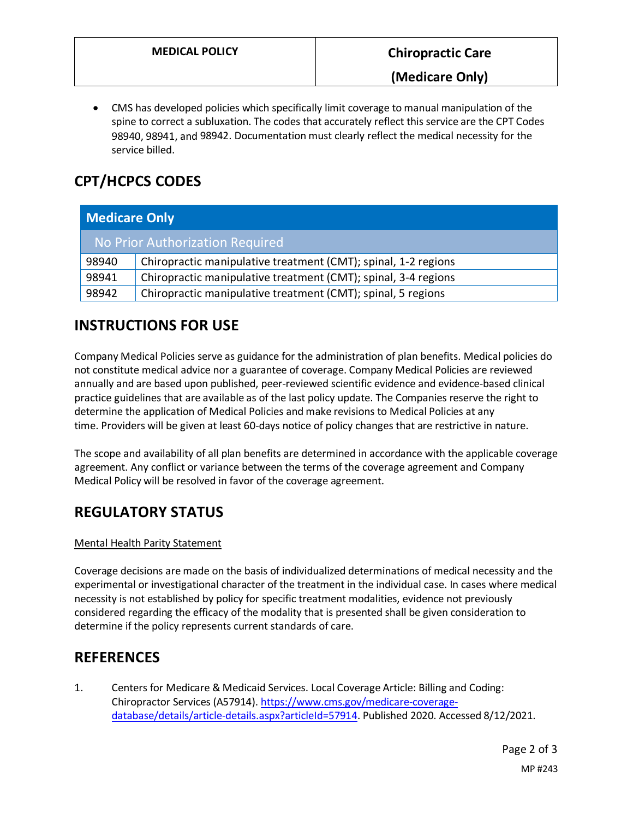• CMS has developed policies which specifically limit coverage to manual manipulation of the spine to correct a subluxation. The codes that accurately reflect this service are the CPT Codes 98940, 98941, and 98942. Documentation must clearly reflect the medical necessity for the service billed.

# **CPT/HCPCS CODES**

| <b>Medicare Only</b>            |                                                                |
|---------------------------------|----------------------------------------------------------------|
| No Prior Authorization Required |                                                                |
| 98940                           | Chiropractic manipulative treatment (CMT); spinal, 1-2 regions |
| 98941                           | Chiropractic manipulative treatment (CMT); spinal, 3-4 regions |
| 98942                           | Chiropractic manipulative treatment (CMT); spinal, 5 regions   |

# **INSTRUCTIONS FOR USE**

Company Medical Policies serve as guidance for the administration of plan benefits. Medical policies do not constitute medical advice nor a guarantee of coverage. Company Medical Policies are reviewed annually and are based upon published, peer-reviewed scientific evidence and evidence-based clinical practice guidelines that are available as of the last policy update. The Companies reserve the right to determine the application of Medical Policies and make revisions to Medical Policies at any time. Providers will be given at least 60-days notice of policy changes that are restrictive in nature.

The scope and availability of all plan benefits are determined in accordance with the applicable coverage agreement. Any conflict or variance between the terms of the coverage agreement and Company Medical Policy will be resolved in favor of the coverage agreement.

# **REGULATORY STATUS**

### Mental Health Parity Statement

Coverage decisions are made on the basis of individualized determinations of medical necessity and the experimental or investigational character of the treatment in the individual case. In cases where medical necessity is not established by policy for specific treatment modalities, evidence not previously considered regarding the efficacy of the modality that is presented shall be given consideration to determine if the policy represents current standards of care.

## **REFERENCES**

1. Centers for Medicare & Medicaid Services. Local Coverage Article: Billing and Coding: Chiropractor Services (A57914). [https://www.cms.gov/medicare-coverage](https://www.cms.gov/medicare-coverage-database/details/article-details.aspx?articleId=57914)[database/details/article-details.aspx?articleId=57914.](https://www.cms.gov/medicare-coverage-database/details/article-details.aspx?articleId=57914) Published 2020. Accessed 8/12/2021.